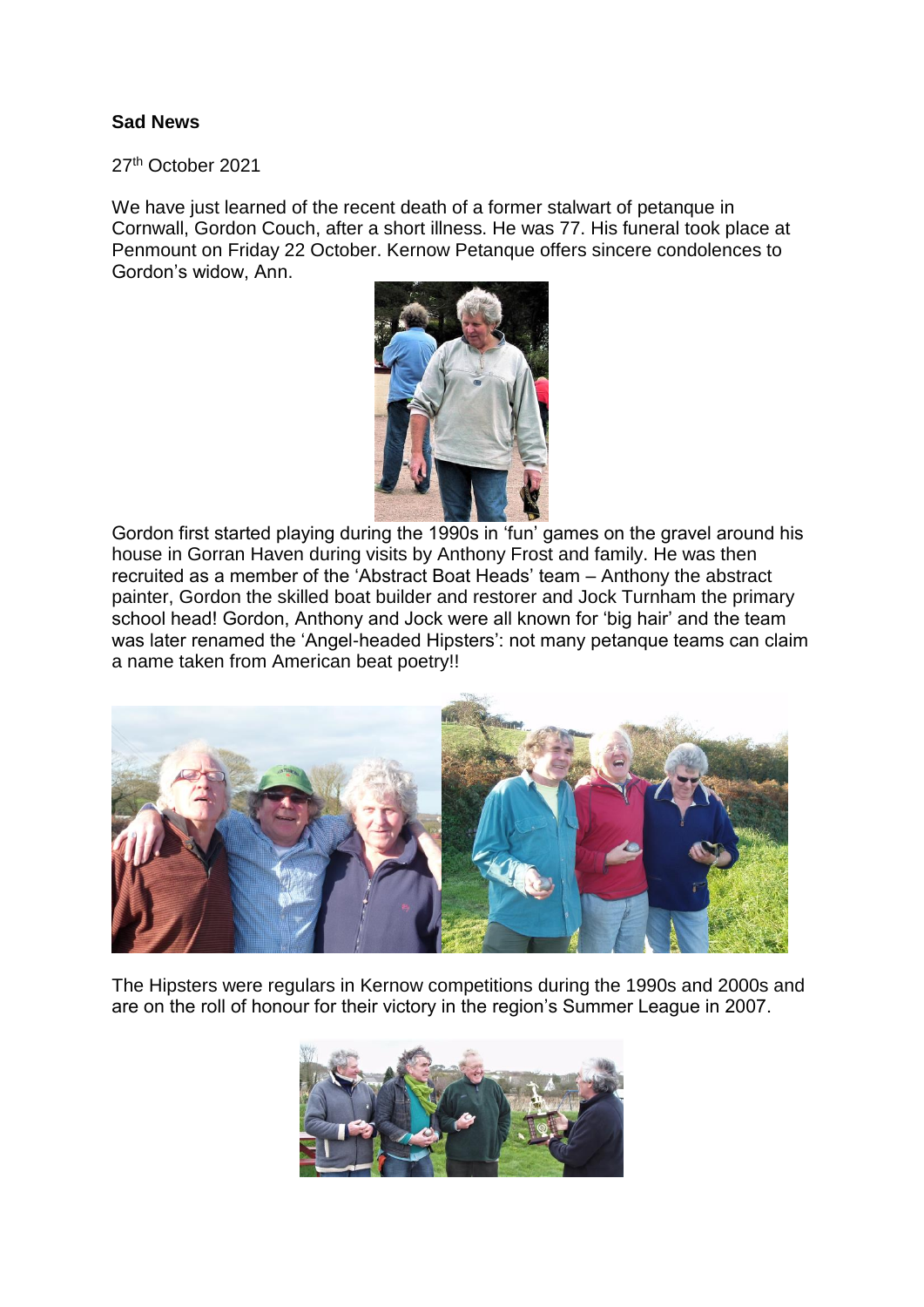## **Sad News**

27th October 2021

We have just learned of the recent death of a former stalwart of petanque in Cornwall, Gordon Couch, after a short illness. He was 77. His funeral took place at Penmount on Friday 22 October. Kernow Petanque offers sincere condolences to Gordon's widow, Ann.



Gordon first started playing during the 1990s in 'fun' games on the gravel around his house in Gorran Haven during visits by Anthony Frost and family. He was then recruited as a member of the 'Abstract Boat Heads' team – Anthony the abstract painter, Gordon the skilled boat builder and restorer and Jock Turnham the primary school head! Gordon, Anthony and Jock were all known for 'big hair' and the team was later renamed the 'Angel-headed Hipsters': not many petanque teams can claim a name taken from American beat poetry!!



The Hipsters were regulars in Kernow competitions during the 1990s and 2000s and are on the roll of honour for their victory in the region's Summer League in 2007.